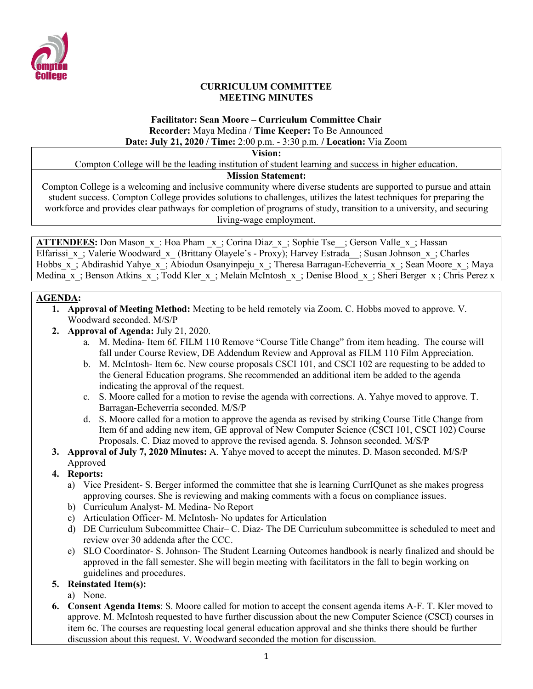

#### **CURRICULUM COMMITTEE MEETING MINUTES**

#### **Facilitator: Sean Moore – Curriculum Committee Chair Recorder:** Maya Medina / **Time Keeper:** To Be Announced **Date: July 21, 2020 / Time:** 2:00 p.m. - 3:30 p.m. **/ Location:** Via Zoom

**Vision:**

Compton College will be the leading institution of student learning and success in higher education.

## **Mission Statement:**

Compton College is a welcoming and inclusive community where diverse students are supported to pursue and attain student success. Compton College provides solutions to challenges, utilizes the latest techniques for preparing the workforce and provides clear pathways for completion of programs of study, transition to a university, and securing living-wage employment.

**ATTENDEES:** Don Mason x: Hoa Pham x; Corina Diaz x; Sophie Tse ; Gerson Valle x; Hassan Elfarissi x; Valerie Woodward x (Brittany Olayele's - Proxy); Harvey Estrada ; Susan Johnson x; Charles Hobbs x; Abdirashid Yahye x; Abiodun Osanyinpeju x; Theresa Barragan-Echeverria x; Sean Moore x; Maya Medina x; Benson Atkins x; Todd Kler x; Melain McIntosh x; Denise Blood x; Sheri Berger x; Chris Perez x

#### **AGENDA:**

- **1. Approval of Meeting Method:** Meeting to be held remotely via Zoom. C. Hobbs moved to approve. V. Woodward seconded. M/S/P
- **2. Approval of Agenda:** July 21, 2020.
	- a. M. Medina- Item 6f. FILM 110 Remove "Course Title Change" from item heading. The course will fall under Course Review, DE Addendum Review and Approval as FILM 110 Film Appreciation.
	- b. M. McIntosh- Item 6c. New course proposals CSCI 101, and CSCI 102 are requesting to be added to the General Education programs. She recommended an additional item be added to the agenda indicating the approval of the request.
	- c. S. Moore called for a motion to revise the agenda with corrections. A. Yahye moved to approve. T. Barragan-Echeverria seconded. M/S/P
	- d. S. Moore called for a motion to approve the agenda as revised by striking Course Title Change from Item 6f and adding new item, GE approval of New Computer Science (CSCI 101, CSCI 102) Course Proposals. C. Diaz moved to approve the revised agenda. S. Johnson seconded. M/S/P
- **3. Approval of July 7, 2020 Minutes:** A. Yahye moved to accept the minutes. D. Mason seconded. M/S/P Approved
- **4. Reports:**
	- a) Vice President- S. Berger informed the committee that she is learning CurrIQunet as she makes progress approving courses. She is reviewing and making comments with a focus on compliance issues.
	- b) Curriculum Analyst- M. Medina- No Report
	- c) Articulation Officer- M. McIntosh- No updates for Articulation
	- d) DE Curriculum Subcommittee Chair– C. Diaz- The DE Curriculum subcommittee is scheduled to meet and review over 30 addenda after the CCC.
	- e) SLO Coordinator- S. Johnson- The Student Learning Outcomes handbook is nearly finalized and should be approved in the fall semester. She will begin meeting with facilitators in the fall to begin working on guidelines and procedures.

## **5. Reinstated Item(s):**

- a) None.
- **6. Consent Agenda Items**: S. Moore called for motion to accept the consent agenda items A-F. T. Kler moved to approve. M. McIntosh requested to have further discussion about the new Computer Science (CSCI) courses in item 6c. The courses are requesting local general education approval and she thinks there should be further discussion about this request. V. Woodward seconded the motion for discussion.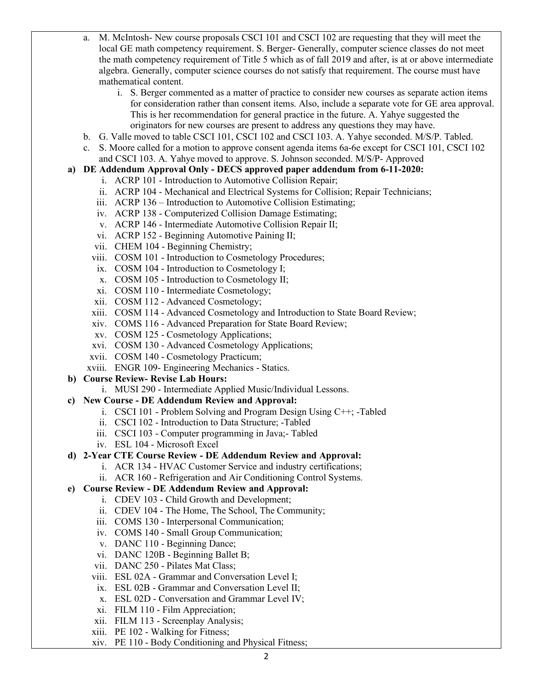- a. M. McIntosh- New course proposals CSCI 101 and CSCI 102 are requesting that they will meet the local GE math competency requirement. S. Berger- Generally, computer science classes do not meet the math competency requirement of Title 5 which as of fall 2019 and after, is at or above intermediate algebra. Generally, computer science courses do not satisfy that requirement. The course must have mathematical content.
	- i. S. Berger commented as a matter of practice to consider new courses as separate action items for consideration rather than consent items. Also, include a separate vote for GE area approval. This is her recommendation for general practice in the future. A. Yahye suggested the originators for new courses are present to address any questions they may have.
- b. G. Valle moved to table CSCI 101, CSCI 102 and CSCI 103. A. Yahye seconded. M/S/P. Tabled.
- c. S. Moore called for a motion to approve consent agenda items 6a-6e except for CSCI 101, CSCI 102 and CSCI 103. A. Yahye moved to approve. S. Johnson seconded. M/S/P- Approved

## **a) DE Addendum Approval Only - DECS approved paper addendum from 6-11-2020:**

- i. ACRP 101 Introduction to Automotive Collision Repair;
	- ii. ACRP 104 Mechanical and Electrical Systems for Collision; Repair Technicians;
- iii. ACRP 136 Introduction to Automotive Collision Estimating;
- iv. ACRP 138 Computerized Collision Damage Estimating;
- v. ACRP 146 Intermediate Automotive Collision Repair II;
- vi. ACRP 152 Beginning Automotive Paining II;
- vii. CHEM 104 Beginning Chemistry;
- viii. COSM 101 Introduction to Cosmetology Procedures;
- ix. COSM 104 Introduction to Cosmetology I;
- x. COSM 105 Introduction to Cosmetology II;
- xi. COSM 110 Intermediate Cosmetology;
- xii. COSM 112 Advanced Cosmetology;
- xiii. COSM 114 Advanced Cosmetology and Introduction to State Board Review;
- xiv. COMS 116 Advanced Preparation for State Board Review;
- xv. COSM 125 Cosmetology Applications;
- xvi. COSM 130 Advanced Cosmetology Applications;
- xvii. COSM 140 Cosmetology Practicum;
- xviii. ENGR 109- Engineering Mechanics Statics.
- **b) Course Review- Revise Lab Hours:** 
	- i. MUSI 290 Intermediate Applied Music/Individual Lessons.
- **c) New Course - DE Addendum Review and Approval:** 
	- i. CSCI 101 Problem Solving and Program Design Using C++; -Tabled
	- ii. CSCI 102 Introduction to Data Structure; -Tabled
	- iii. CSCI 103 Computer programming in Java;- Tabled
	- iv. ESL 104 Microsoft Excel
- **d) 2-Year CTE Course Review - DE Addendum Review and Approval:** 
	- i. ACR 134 HVAC Customer Service and industry certifications;
	- ii. ACR 160 Refrigeration and Air Conditioning Control Systems.
- **e) Course Review - DE Addendum Review and Approval:** 
	- i. CDEV 103 Child Growth and Development;
	- ii. CDEV 104 The Home, The School, The Community;
	- iii. COMS 130 Interpersonal Communication;
	- iv. COMS 140 Small Group Communication;
	- v. DANC 110 Beginning Dance;
	- vi. DANC 120B Beginning Ballet B;
	- vii. DANC 250 Pilates Mat Class;
	- viii. ESL 02A Grammar and Conversation Level I;
	- ix. ESL 02B Grammar and Conversation Level II;
	- x. ESL 02D Conversation and Grammar Level IV;
	- xi. FILM 110 Film Appreciation;
	- xii. FILM 113 Screenplay Analysis;
	- xiii. PE 102 Walking for Fitness;
	- xiv. PE 110 Body Conditioning and Physical Fitness;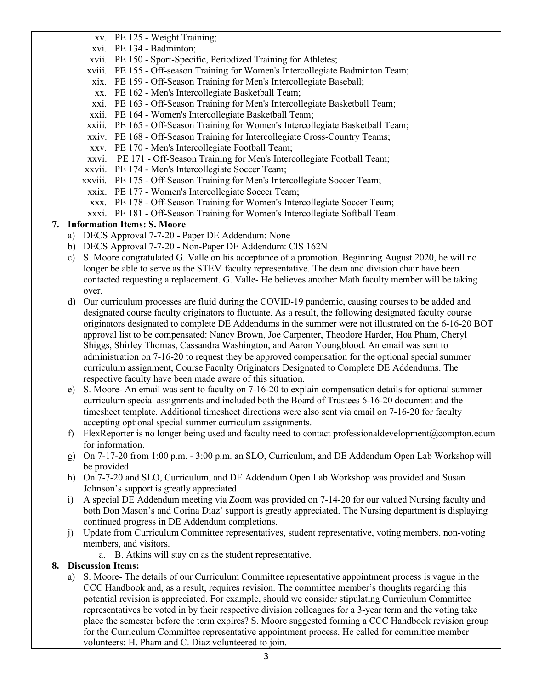- xv. PE 125 Weight Training;
- xvi. PE 134 Badminton;
- xvii. PE 150 Sport-Specific, Periodized Training for Athletes;
- xviii. PE 155 Off-season Training for Women's Intercollegiate Badminton Team;
- xix. PE 159 Off-Season Training for Men's Intercollegiate Baseball;
- xx. PE 162 Men's Intercollegiate Basketball Team;
- xxi. PE 163 Off-Season Training for Men's Intercollegiate Basketball Team;
- xxii. PE 164 Women's Intercollegiate Basketball Team;
- xxiii. PE 165 Off-Season Training for Women's Intercollegiate Basketball Team;
- xxiv. PE 168 Off-Season Training for Intercollegiate Cross-Country Teams;
- xxv. PE 170 Men's Intercollegiate Football Team;
- xxvi. PE 171 Off-Season Training for Men's Intercollegiate Football Team;
- xxvii. PE 174 Men's Intercollegiate Soccer Team;
- xxviii. PE 175 Off-Season Training for Men's Intercollegiate Soccer Team;
- xxix. PE 177 Women's Intercollegiate Soccer Team;
- xxx. PE 178 Off-Season Training for Women's Intercollegiate Soccer Team;
- xxxi. PE 181 Off-Season Training for Women's Intercollegiate Softball Team.

# **7. Information Items: S. Moore**

- a) DECS Approval 7-7-20 Paper DE Addendum: None
- b) DECS Approval 7-7-20 Non-Paper DE Addendum: CIS 162N
- c) S. Moore congratulated G. Valle on his acceptance of a promotion. Beginning August 2020, he will no longer be able to serve as the STEM faculty representative. The dean and division chair have been contacted requesting a replacement. G. Valle- He believes another Math faculty member will be taking over.
- d) Our curriculum processes are fluid during the COVID-19 pandemic, causing courses to be added and designated course faculty originators to fluctuate. As a result, the following designated faculty course originators designated to complete DE Addendums in the summer were not illustrated on the 6-16-20 BOT approval list to be compensated: Nancy Brown, Joe Carpenter, Theodore Harder, Hoa Pham, Cheryl Shiggs, Shirley Thomas, Cassandra Washington, and Aaron Youngblood. An email was sent to administration on 7-16-20 to request they be approved compensation for the optional special summer curriculum assignment, Course Faculty Originators Designated to Complete DE Addendums. The respective faculty have been made aware of this situation.
- e) S. Moore- An email was sent to faculty on 7-16-20 to explain compensation details for optional summer curriculum special assignments and included both the Board of Trustees 6-16-20 document and the timesheet template. Additional timesheet directions were also sent via email on 7-16-20 for faculty accepting optional special summer curriculum assignments.
- f) FlexReporter is no longer being used and faculty need to contact [professionaldevelopment@compton.edum](mailto:professionaldevelopment@compton.edum) for information.
- g) On 7-17-20 from 1:00 p.m. 3:00 p.m. an SLO, Curriculum, and DE Addendum Open Lab Workshop will be provided.
- h) On 7-7-20 and SLO, Curriculum, and DE Addendum Open Lab Workshop was provided and Susan Johnson's support is greatly appreciated.
- i) A special DE Addendum meeting via Zoom was provided on 7-14-20 for our valued Nursing faculty and both Don Mason's and Corina Diaz' support is greatly appreciated. The Nursing department is displaying continued progress in DE Addendum completions.
- j) Update from Curriculum Committee representatives, student representative, voting members, non-voting members, and visitors.
	- a. B. Atkins will stay on as the student representative.

# **8. Discussion Items:**

a) S. Moore- The details of our Curriculum Committee representative appointment process is vague in the CCC Handbook and, as a result, requires revision. The committee member's thoughts regarding this potential revision is appreciated. For example, should we consider stipulating Curriculum Committee representatives be voted in by their respective division colleagues for a 3-year term and the voting take place the semester before the term expires? S. Moore suggested forming a CCC Handbook revision group for the Curriculum Committee representative appointment process. He called for committee member volunteers: H. Pham and C. Diaz volunteered to join.